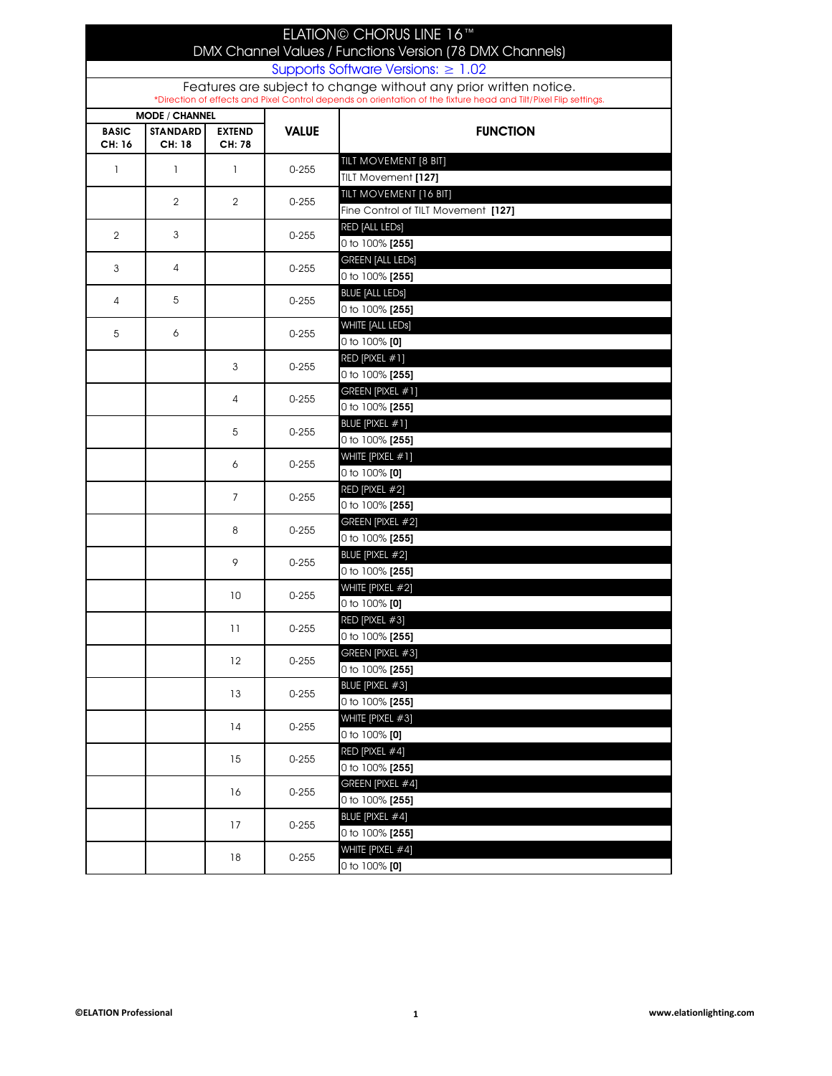|                                         |                       |                |              | ELATION© CHORUS LINE 16™                                                                                                                                                             |  |  |
|-----------------------------------------|-----------------------|----------------|--------------|--------------------------------------------------------------------------------------------------------------------------------------------------------------------------------------|--|--|
|                                         |                       |                |              | DMX Channel Values / Functions Version (78 DMX Channels)                                                                                                                             |  |  |
| Supports Software Versions: $\geq 1.02$ |                       |                |              |                                                                                                                                                                                      |  |  |
|                                         |                       |                |              | Features are subject to change without any prior written notice.<br>*Direction of effects and Pixel Control depends on orientation of the fixture head and Tilt/Pixel Flip settings. |  |  |
|                                         | <b>MODE / CHANNEL</b> |                |              |                                                                                                                                                                                      |  |  |
| <b>BASIC</b>                            | <b>STANDARD</b>       | <b>EXTEND</b>  | <b>VALUE</b> | <b>FUNCTION</b>                                                                                                                                                                      |  |  |
| CH: 16                                  | CH: 18                | CH: 78         |              |                                                                                                                                                                                      |  |  |
| $\mathbf{I}$                            | 1                     | $\mathbf{I}$   | $0 - 255$    | TILT MOVEMENT [8 BIT]                                                                                                                                                                |  |  |
|                                         |                       |                |              | <b>TILT Movement [127]</b>                                                                                                                                                           |  |  |
|                                         | 2                     | $\overline{2}$ | $0 - 255$    | TILT MOVEMENT [16 BIT]                                                                                                                                                               |  |  |
|                                         |                       |                |              | Fine Control of TILT Movement [127]                                                                                                                                                  |  |  |
| 2                                       | 3                     |                | $0 - 255$    | RED [ALL LEDs]                                                                                                                                                                       |  |  |
|                                         |                       |                |              | 0 to 100% [255]                                                                                                                                                                      |  |  |
| 3                                       | $\overline{A}$        |                | $0 - 255$    | <b>GREEN [ALL LEDs]</b><br>0 to 100% [255]                                                                                                                                           |  |  |
|                                         |                       |                |              | <b>BLUE [ALL LEDs]</b>                                                                                                                                                               |  |  |
| 4                                       | 5                     |                | $0 - 255$    | 0 to 100% [255]                                                                                                                                                                      |  |  |
|                                         |                       |                |              | WHITE [ALL LEDs]                                                                                                                                                                     |  |  |
| 5                                       | 6                     |                | $0 - 255$    | 0 to $100\%$ [0]                                                                                                                                                                     |  |  |
|                                         |                       |                |              | RED [PIXEL #1]                                                                                                                                                                       |  |  |
|                                         |                       | 3              | $0 - 255$    | 0 to 100% [255]                                                                                                                                                                      |  |  |
|                                         |                       | 4              | $0 - 255$    | GREEN [PIXEL #1]                                                                                                                                                                     |  |  |
|                                         |                       |                |              | 0 to 100% [255]                                                                                                                                                                      |  |  |
|                                         |                       | 5              | $0 - 255$    | BLUE [PIXEL #1]                                                                                                                                                                      |  |  |
|                                         |                       |                |              | 0 to 100% [255]                                                                                                                                                                      |  |  |
|                                         |                       | 6              | $0 - 255$    | WHITE [PIXEL #1]                                                                                                                                                                     |  |  |
|                                         |                       |                |              | 0 to 100% [0]                                                                                                                                                                        |  |  |
|                                         |                       | $\overline{7}$ | $0 - 255$    | RED [PIXEL #2]<br>0 to 100% [255]                                                                                                                                                    |  |  |
|                                         |                       |                |              | GREEN [PIXEL #2]                                                                                                                                                                     |  |  |
|                                         |                       | 8              | $0 - 255$    | 0 to 100% [255]                                                                                                                                                                      |  |  |
|                                         |                       |                |              | BLUE [PIXEL #2]                                                                                                                                                                      |  |  |
|                                         |                       | 9              | $0 - 255$    | 0 to 100% [255]                                                                                                                                                                      |  |  |
|                                         |                       |                |              | WHITE [PIXEL #2]                                                                                                                                                                     |  |  |
|                                         |                       | 10             | $0 - 255$    | 0 to 100% [0]                                                                                                                                                                        |  |  |
|                                         |                       | 11             | 0-255        | RED [PIXEL #3]                                                                                                                                                                       |  |  |
|                                         |                       |                |              | 0 to 100% [255]                                                                                                                                                                      |  |  |
|                                         |                       | 12             | $0 - 255$    | GREEN [PIXEL #3]                                                                                                                                                                     |  |  |
|                                         |                       |                |              | 0 to 100% [255]                                                                                                                                                                      |  |  |
|                                         |                       | 13             | $0 - 255$    | BLUE [PIXEL #3]                                                                                                                                                                      |  |  |
|                                         |                       |                |              | 0 to 100% [255]<br>WHITE [PIXEL #3]                                                                                                                                                  |  |  |
|                                         |                       | 14             | $0 - 255$    | 0 to 100% [0]                                                                                                                                                                        |  |  |
|                                         |                       |                |              | RED [PIXEL #4]                                                                                                                                                                       |  |  |
|                                         |                       | 15             | $0 - 255$    | 0 to 100% [255]                                                                                                                                                                      |  |  |
|                                         |                       |                |              | GREEN [PIXEL #4]                                                                                                                                                                     |  |  |
|                                         |                       | 16             | $0 - 255$    | 0 to 100% [255]                                                                                                                                                                      |  |  |
|                                         |                       | 17             | $0 - 255$    | BLUE [PIXEL #4]                                                                                                                                                                      |  |  |
|                                         |                       |                |              | 0 to 100% [255]                                                                                                                                                                      |  |  |
|                                         |                       | 18             | $0 - 255$    | WHITE [PIXEL #4]                                                                                                                                                                     |  |  |
|                                         |                       |                |              | 0 to $100\%$ [0]                                                                                                                                                                     |  |  |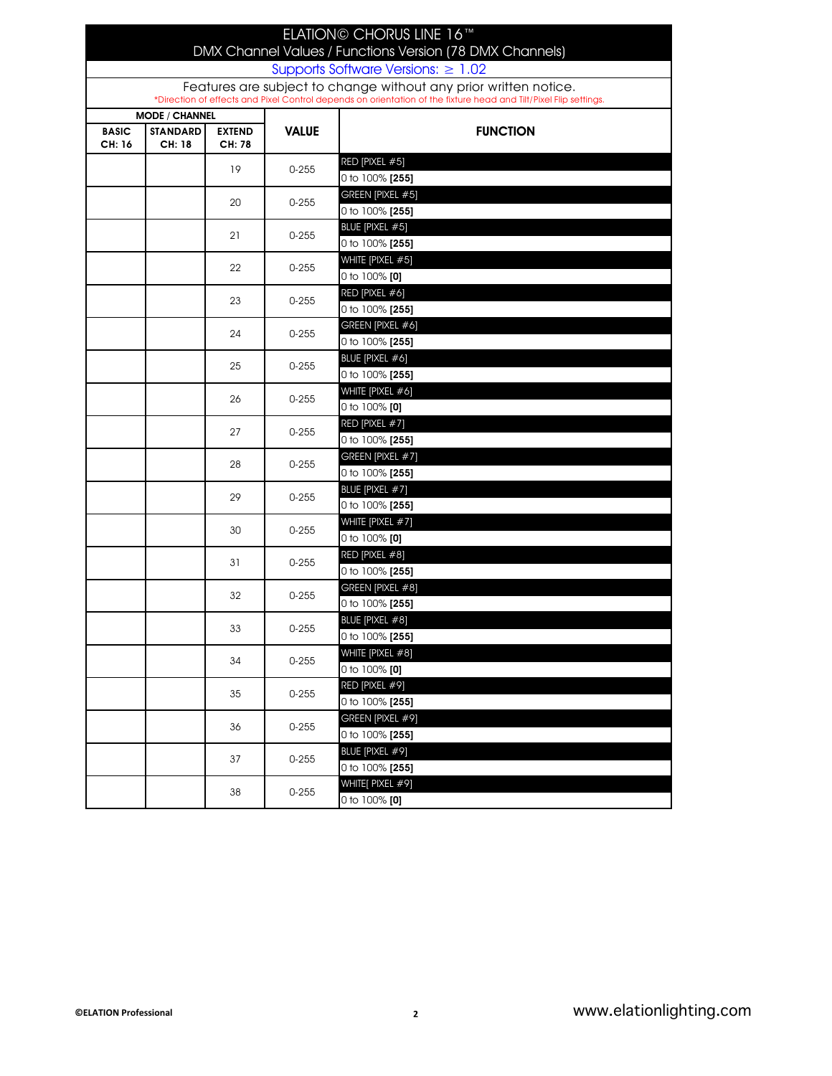| ELATION© CHORUS LINE 16™<br>DMX Channel Values / Functions Version (78 DMX Channels) |                                                    |                         |              |                                                                                                                  |  |  |  |
|--------------------------------------------------------------------------------------|----------------------------------------------------|-------------------------|--------------|------------------------------------------------------------------------------------------------------------------|--|--|--|
| Supports Software Versions: $\geq 1.02$                                              |                                                    |                         |              |                                                                                                                  |  |  |  |
| Features are subject to change without any prior written notice.                     |                                                    |                         |              |                                                                                                                  |  |  |  |
|                                                                                      |                                                    |                         |              | *Direction of effects and Pixel Control depends on orientation of the fixture head and Tilt/Pixel Flip settings. |  |  |  |
| <b>BASIC</b><br>CH: 16                                                               | <b>MODE / CHANNEL</b><br><b>STANDARD</b><br>CH: 18 | <b>EXTEND</b><br>CH: 78 | <b>VALUE</b> | <b>FUNCTION</b>                                                                                                  |  |  |  |
|                                                                                      |                                                    |                         |              | RED [PIXEL #5]                                                                                                   |  |  |  |
|                                                                                      |                                                    | 19                      | $0 - 255$    | 0 to 100% [255]                                                                                                  |  |  |  |
|                                                                                      |                                                    |                         |              | GREEN [PIXEL #5]                                                                                                 |  |  |  |
|                                                                                      |                                                    | 20                      | $0 - 255$    | 0 to 100% [255]                                                                                                  |  |  |  |
|                                                                                      |                                                    | 21                      |              | BLUE [PIXEL #5]                                                                                                  |  |  |  |
|                                                                                      |                                                    |                         | $0 - 255$    | 0 to 100% [255]                                                                                                  |  |  |  |
|                                                                                      |                                                    | 22                      | $0 - 255$    | WHITE [PIXEL #5]                                                                                                 |  |  |  |
|                                                                                      |                                                    |                         |              | 0 to 100% [0]                                                                                                    |  |  |  |
|                                                                                      |                                                    | 23                      | $0 - 255$    | RED [PIXEL #6]                                                                                                   |  |  |  |
|                                                                                      |                                                    |                         |              | 0 to 100% [255]                                                                                                  |  |  |  |
|                                                                                      |                                                    | 24                      | $0 - 255$    | GREEN [PIXEL #6]                                                                                                 |  |  |  |
|                                                                                      |                                                    |                         |              | 0 to 100% [255]                                                                                                  |  |  |  |
|                                                                                      |                                                    | 25                      | $0 - 255$    | BLUE [PIXEL #6]                                                                                                  |  |  |  |
|                                                                                      |                                                    |                         |              | 0 to 100% [255]                                                                                                  |  |  |  |
|                                                                                      |                                                    | 26                      | $0 - 255$    | WHITE [PIXEL #6]                                                                                                 |  |  |  |
|                                                                                      |                                                    |                         |              | 0 to 100% [0]                                                                                                    |  |  |  |
|                                                                                      |                                                    | 27                      | $0 - 255$    | RED [PIXEL #7]                                                                                                   |  |  |  |
|                                                                                      |                                                    |                         |              | 0 to 100% <b>[255]</b>                                                                                           |  |  |  |
|                                                                                      |                                                    | 28                      | $0 - 255$    | GREEN [PIXEL #7]                                                                                                 |  |  |  |
|                                                                                      |                                                    |                         |              | 0 to 100% [255]<br>BLUE [PIXEL #7]                                                                               |  |  |  |
|                                                                                      |                                                    | 29                      | $0 - 255$    | 0 to 100% [255]                                                                                                  |  |  |  |
|                                                                                      |                                                    |                         |              | WHITE [PIXEL #7]                                                                                                 |  |  |  |
|                                                                                      |                                                    | 30                      | $0 - 255$    | 0 to 100% [0]                                                                                                    |  |  |  |
|                                                                                      |                                                    |                         |              | RED [PIXEL #8]                                                                                                   |  |  |  |
|                                                                                      |                                                    | 31                      | $0 - 255$    | 0 to 100% [255]                                                                                                  |  |  |  |
|                                                                                      |                                                    |                         |              | GREEN [PIXEL #8]                                                                                                 |  |  |  |
|                                                                                      |                                                    | 32                      | $0 - 255$    | 0 to 100% [255]                                                                                                  |  |  |  |
|                                                                                      |                                                    |                         |              | BLUE [PIXEL #8]                                                                                                  |  |  |  |
|                                                                                      |                                                    | 33                      | $0 - 255$    | 0 to 100% [255]                                                                                                  |  |  |  |
|                                                                                      |                                                    |                         |              | WHITE [PIXEL #8]                                                                                                 |  |  |  |
|                                                                                      |                                                    | 34                      | $0 - 255$    | 0 to $100\%$ [0]                                                                                                 |  |  |  |
|                                                                                      |                                                    | 35                      | $0 - 255$    | RED [PIXEL #9]                                                                                                   |  |  |  |
|                                                                                      |                                                    |                         |              | 0 to 100% [255]                                                                                                  |  |  |  |
|                                                                                      |                                                    | 36                      | $0 - 255$    | GREEN [PIXEL #9]                                                                                                 |  |  |  |
|                                                                                      |                                                    |                         |              | 0 to 100% [255]                                                                                                  |  |  |  |
|                                                                                      |                                                    | 37                      | $0 - 255$    | BLUE [PIXEL #9]                                                                                                  |  |  |  |
|                                                                                      |                                                    |                         |              | 0 to 100% [255]                                                                                                  |  |  |  |
|                                                                                      |                                                    | 38                      | $0 - 255$    | WHITE[ PIXEL #9]                                                                                                 |  |  |  |
|                                                                                      |                                                    |                         |              | 0 to 100% [0]                                                                                                    |  |  |  |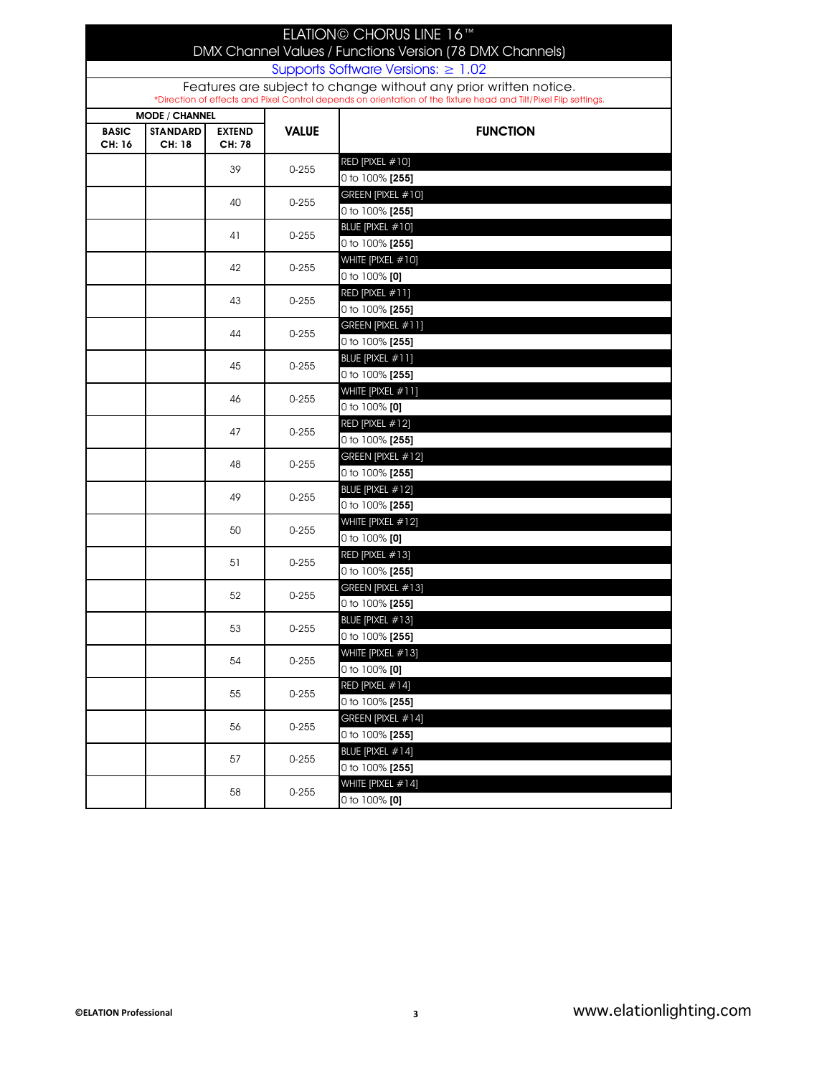| ELATION© CHORUS LINE 16™<br>DMX Channel Values / Functions Version (78 DMX Channels)<br>Supports Software Versions: $\geq 1.02$                                                      |                                                           |                         |              |                                           |  |
|--------------------------------------------------------------------------------------------------------------------------------------------------------------------------------------|-----------------------------------------------------------|-------------------------|--------------|-------------------------------------------|--|
| Features are subject to change without any prior written notice.<br>*Direction of effects and Pixel Control depends on orientation of the fixture head and Tilt/Pixel Flip settings. |                                                           |                         |              |                                           |  |
| <b>BASIC</b><br>CH: 16                                                                                                                                                               | <b>MODE / CHANNEL</b><br><b>STANDARD</b><br><b>CH: 18</b> | <b>EXTEND</b><br>CH: 78 | <b>VALUE</b> | <b>FUNCTION</b>                           |  |
|                                                                                                                                                                                      |                                                           | 39                      | $0 - 255$    | RED [PIXEL #10]<br>0 to 100% [255]        |  |
|                                                                                                                                                                                      |                                                           | 40                      | $0 - 255$    | GREEN [PIXEL #10]<br>0 to 100% [255]      |  |
|                                                                                                                                                                                      |                                                           | 41                      | $0 - 255$    | BLUE [PIXEL #10]<br>0 to 100% [255]       |  |
|                                                                                                                                                                                      |                                                           | 42                      | $0 - 255$    | WHITE [PIXEL #10]<br>0 to 100% [0]        |  |
|                                                                                                                                                                                      |                                                           | 43                      | $0 - 255$    | RED [PIXEL #11]<br>0 to 100% <b>[255]</b> |  |
|                                                                                                                                                                                      |                                                           | 44                      | $0 - 255$    | GREEN [PIXEL #11]<br>0 to 100% [255]      |  |
|                                                                                                                                                                                      |                                                           | 45                      | $0 - 255$    | BLUE [PIXEL #11]<br>0 to 100% [255]       |  |
|                                                                                                                                                                                      |                                                           | 46                      | $0 - 255$    | WHITE [PIXEL #11]<br>0 to 100% [0]        |  |
|                                                                                                                                                                                      |                                                           | 47                      | $0 - 255$    | RED [PIXEL #12]<br>0 to 100% [255]        |  |
|                                                                                                                                                                                      |                                                           | 48                      | $0 - 255$    | GREEN [PIXEL #12]<br>0 to 100% [255]      |  |
|                                                                                                                                                                                      |                                                           | 49                      | $0 - 255$    | BLUE [PIXEL #12]<br>0 to 100% [255]       |  |
|                                                                                                                                                                                      |                                                           | 50                      | $0 - 255$    | WHITE [PIXEL #12]<br>0 to 100% [0]        |  |
|                                                                                                                                                                                      |                                                           | 51                      | $0 - 255$    | RED [PIXEL #13]<br>0 to 100% [255]        |  |
|                                                                                                                                                                                      |                                                           | 52                      | $0 - 255$    | GREEN [PIXEL #13]<br>0 to 100% [255]      |  |
|                                                                                                                                                                                      |                                                           | 53                      | $0 - 255$    | BLUE [PIXEL #13]<br>0 to 100% [255]       |  |
|                                                                                                                                                                                      |                                                           | 54                      | $0 - 255$    | WHITE [PIXEL #13]<br>0 to $100\%$ [0]     |  |
|                                                                                                                                                                                      |                                                           | 55                      | $0 - 255$    | RED [PIXEL #14]<br>0 to 100% [255]        |  |
|                                                                                                                                                                                      |                                                           | 56                      | $0 - 255$    | GREEN [PIXEL #14]<br>0 to 100% [255]      |  |
|                                                                                                                                                                                      |                                                           | 57                      | $0 - 255$    | BLUE [PIXEL #14]<br>0 to 100% [255]       |  |
|                                                                                                                                                                                      |                                                           | 58                      | $0 - 255$    | WHITE [PIXEL #14]<br>0 to 100% [0]        |  |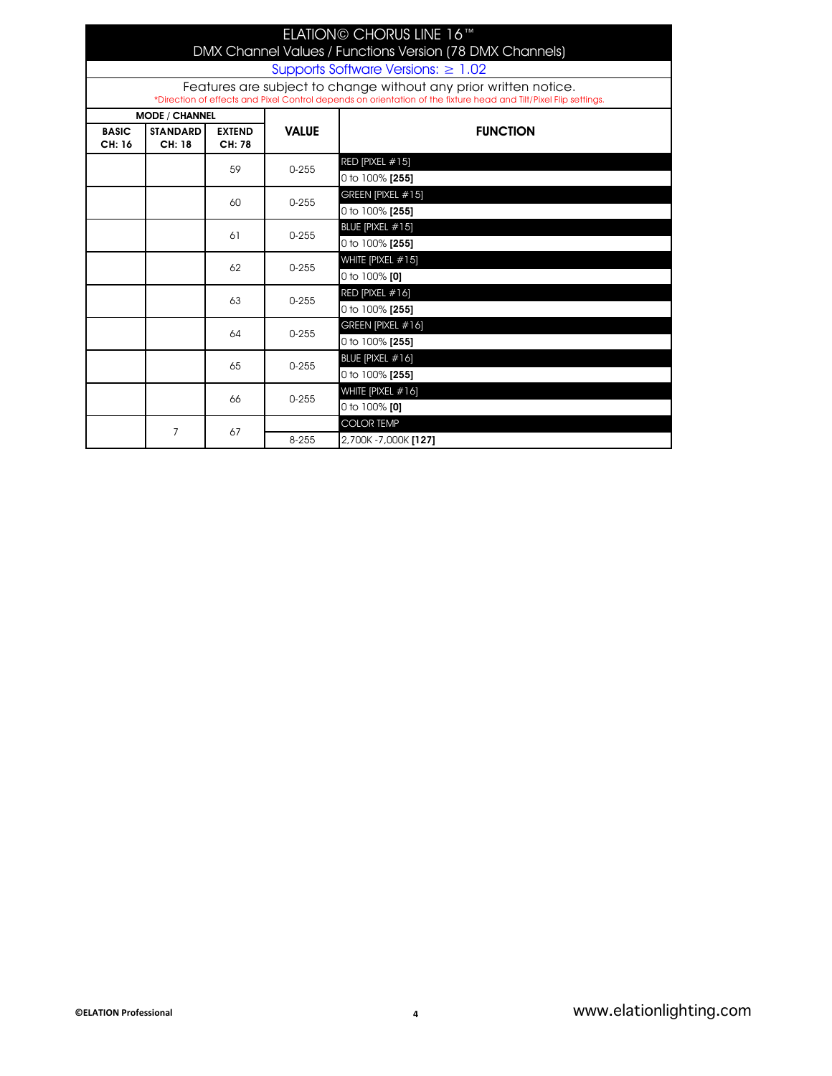| ELATION© CHORUS LINE 16™ |                                                                                                                                                                                      |                         |                       |                                       |  |  |  |
|--------------------------|--------------------------------------------------------------------------------------------------------------------------------------------------------------------------------------|-------------------------|-----------------------|---------------------------------------|--|--|--|
|                          | DMX Channel Values / Functions Version (78 DMX Channels)<br>Supports Software Versions: $\geq 1.02$                                                                                  |                         |                       |                                       |  |  |  |
|                          | Features are subject to change without any prior written notice.<br>*Direction of effects and Pixel Control depends on orientation of the fixture head and Tilt/Pixel Flip settings. |                         |                       |                                       |  |  |  |
|                          | <b>MODE / CHANNEL</b>                                                                                                                                                                |                         |                       |                                       |  |  |  |
| <b>BASIC</b><br>CH: 16   | <b>STANDARD</b><br>CH: 18                                                                                                                                                            | <b>EXTEND</b><br>CH: 78 | <b>VALUE</b>          | <b>FUNCTION</b>                       |  |  |  |
|                          |                                                                                                                                                                                      | 59                      | $0 - 255$             | RED [PIXEL #15]<br>0 to 100% [255]    |  |  |  |
|                          |                                                                                                                                                                                      | 60                      | $0 - 255$             | GREEN [PIXEL #15]<br>0 to 100% [255]  |  |  |  |
|                          |                                                                                                                                                                                      | 61                      | $0 - 255$             | BLUE [PIXEL #15]<br>0 to 100% [255]   |  |  |  |
|                          |                                                                                                                                                                                      | 62                      | $0 - 255$             | WHITE [PIXEL #15]<br>0 to $100\%$ [0] |  |  |  |
|                          |                                                                                                                                                                                      | 63                      | $0 - 255$             | RED [PIXEL #16]<br>0 to 100% [255]    |  |  |  |
|                          |                                                                                                                                                                                      | 64                      | $0 - 255$             | GREEN [PIXEL #16]<br>0 to 100% [255]  |  |  |  |
|                          |                                                                                                                                                                                      | 65                      | $0 - 255$             | BLUE [PIXEL #16]<br>0 to 100% [255]   |  |  |  |
|                          |                                                                                                                                                                                      | 66                      | $0 - 255$             | WHITE [PIXEL #16]<br>0 to $100\%$ [0] |  |  |  |
|                          | 7                                                                                                                                                                                    | 67                      |                       | <b>COLOR TEMP</b>                     |  |  |  |
|                          |                                                                                                                                                                                      | 8-255                   | 2,700K - 7,000K [127] |                                       |  |  |  |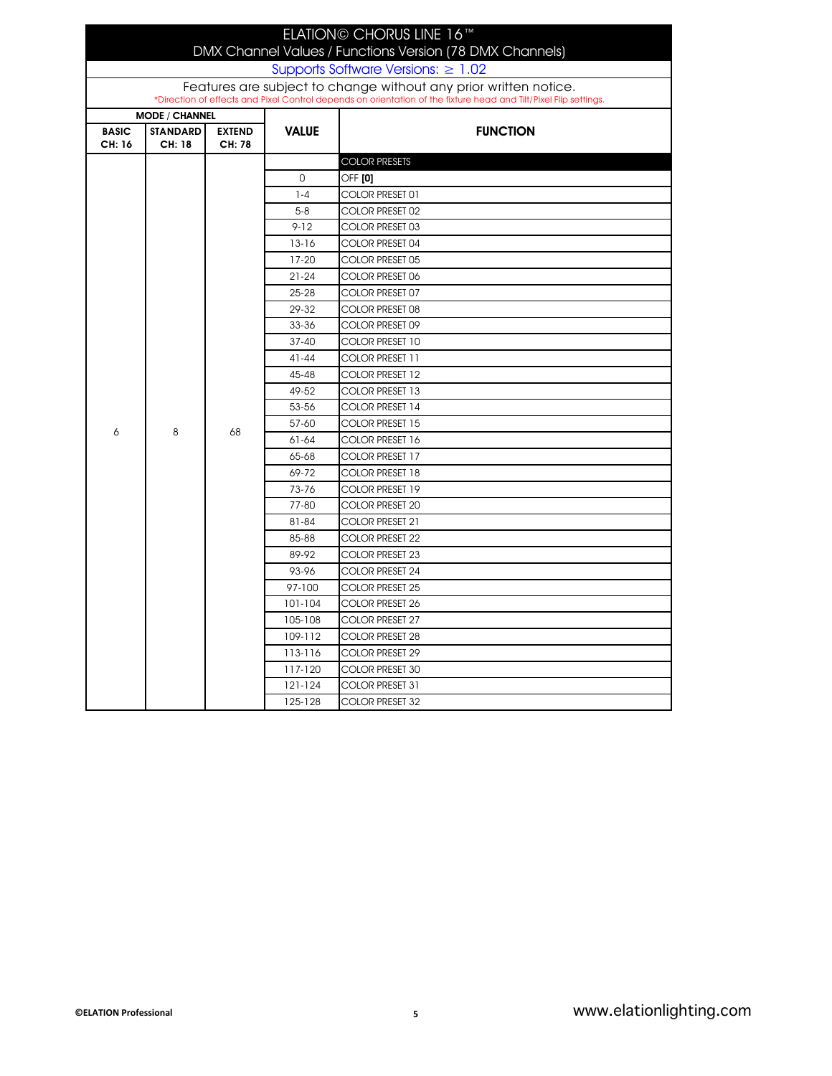|                        |                           |                         |              | ELATION© CHORUS LINE 16™<br>DMX Channel Values / Functions Version (78 DMX Channels)<br>Supports Software Versions: $\geq 1.02$ |
|------------------------|---------------------------|-------------------------|--------------|---------------------------------------------------------------------------------------------------------------------------------|
|                        |                           |                         |              | Features are subject to change without any prior written notice.                                                                |
|                        |                           |                         |              | *Direction of effects and Pixel Control depends on orientation of the fixture head and Tilt/Pixel Flip settings.                |
|                        | <b>MODE / CHANNEL</b>     |                         |              |                                                                                                                                 |
| <b>BASIC</b><br>CH: 16 | <b>STANDARD</b><br>CH: 18 | <b>EXTEND</b><br>CH: 78 | <b>VALUE</b> | <b>FUNCTION</b>                                                                                                                 |
|                        |                           |                         |              | <b>COLOR PRESETS</b>                                                                                                            |
|                        |                           |                         | 0            | OFF [0]                                                                                                                         |
|                        |                           |                         | $1 - 4$      | COLOR PRESET 01                                                                                                                 |
|                        |                           |                         | $5 - 8$      | COLOR PRESET 02                                                                                                                 |
|                        |                           |                         | $9 - 12$     | COLOR PRESET 03                                                                                                                 |
|                        |                           |                         | $13 - 16$    | COLOR PRESET 04                                                                                                                 |
|                        |                           |                         | $17-20$      | COLOR PRESET 05                                                                                                                 |
|                        |                           |                         | $21 - 24$    | COLOR PRESET 06                                                                                                                 |
|                        |                           |                         | $25 - 28$    | COLOR PRESET 07                                                                                                                 |
|                        |                           |                         | 29-32        | COLOR PRESET 08                                                                                                                 |
|                        |                           |                         | 33-36        | COLOR PRESET 09                                                                                                                 |
|                        |                           |                         | $37 - 40$    | COLOR PRESET 10                                                                                                                 |
|                        |                           |                         | $41 - 44$    | COLOR PRESET 11                                                                                                                 |
|                        |                           |                         | 45-48        | COLOR PRESET 12                                                                                                                 |
|                        |                           |                         | 49-52        | COLOR PRESET 13                                                                                                                 |
|                        |                           |                         | 53-56        | COLOR PRESET 14                                                                                                                 |
| 6                      | 8                         | 68                      | 57-60        | COLOR PRESET 15                                                                                                                 |
|                        |                           |                         | $61 - 64$    | COLOR PRESET 16                                                                                                                 |
|                        |                           |                         | 65-68        | COLOR PRESET 17                                                                                                                 |
|                        |                           |                         | 69-72        | COLOR PRESET 18                                                                                                                 |
|                        |                           |                         | 73-76        | COLOR PRESET 19                                                                                                                 |
|                        |                           |                         | 77-80        | COLOR PRESET 20                                                                                                                 |
|                        |                           |                         | 81-84        | COLOR PRESET 21                                                                                                                 |
|                        |                           |                         | 85-88        | COLOR PRESET 22                                                                                                                 |
|                        |                           |                         | 89-92        | COLOR PRESET 23                                                                                                                 |
|                        |                           |                         | 93-96        | COLOR PRESET 24                                                                                                                 |
|                        |                           |                         | 97-100       | COLOR PRESET 25                                                                                                                 |
|                        |                           |                         | 101-104      | COLOR PRESET 26                                                                                                                 |
|                        |                           |                         | 105-108      | COLOR PRESET 27                                                                                                                 |
|                        |                           |                         | 109-112      | COLOR PRESET 28                                                                                                                 |
|                        |                           |                         | 113-116      | COLOR PRESET 29                                                                                                                 |
|                        |                           |                         | 117-120      | COLOR PRESET 30                                                                                                                 |
|                        |                           |                         | 121-124      | COLOR PRESET 31                                                                                                                 |
|                        |                           |                         | 125-128      | <b>COLOR PRESET 32</b>                                                                                                          |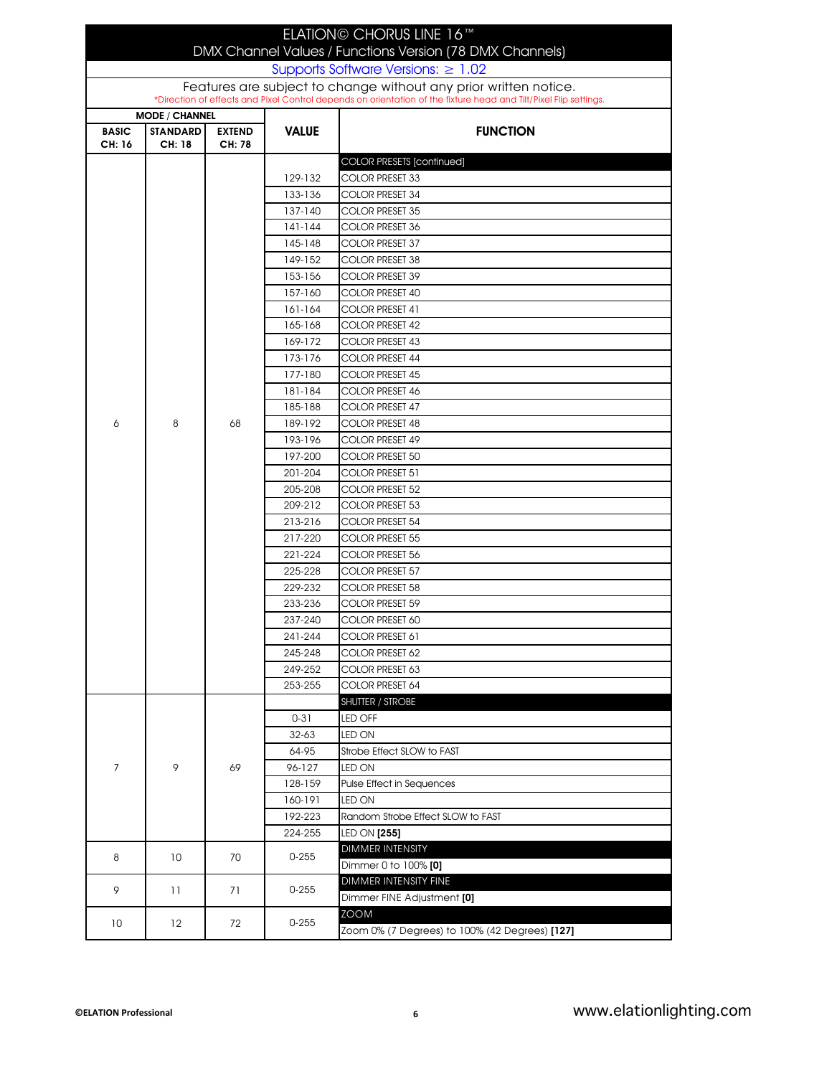| ELATION© CHORUS LINE 16™<br>DMX Channel Values / Functions Version (78 DMX Channels)                             |                           |                         |                    |                                                |  |  |
|------------------------------------------------------------------------------------------------------------------|---------------------------|-------------------------|--------------------|------------------------------------------------|--|--|
| Supports Software Versions: $\geq 1.02$                                                                          |                           |                         |                    |                                                |  |  |
| Features are subject to change without any prior written notice.                                                 |                           |                         |                    |                                                |  |  |
| *Direction of effects and Pixel Control depends on orientation of the fixture head and Tilt/Pixel Flip settings. |                           |                         |                    |                                                |  |  |
| <b>MODE / CHANNEL</b>                                                                                            |                           |                         |                    |                                                |  |  |
| <b>BASIC</b><br>CH: 16                                                                                           | <b>STANDARD</b><br>CH: 18 | <b>EXTEND</b><br>CH: 78 | <b>VALUE</b>       | <b>FUNCTION</b>                                |  |  |
|                                                                                                                  |                           |                         |                    | <b>COLOR PRESETS [continued]</b>               |  |  |
|                                                                                                                  |                           |                         | 129-132            | COLOR PRESET 33                                |  |  |
|                                                                                                                  |                           |                         | 133-136            | COLOR PRESET 34                                |  |  |
|                                                                                                                  |                           |                         | 137-140            | <b>COLOR PRESET 35</b>                         |  |  |
|                                                                                                                  |                           |                         | 141-144            | COLOR PRESET 36                                |  |  |
|                                                                                                                  |                           |                         | 145-148            | <b>COLOR PRESET 37</b>                         |  |  |
|                                                                                                                  |                           |                         | 149-152            | COLOR PRESET 38                                |  |  |
|                                                                                                                  |                           |                         | 153-156            | <b>COLOR PRESET 39</b>                         |  |  |
|                                                                                                                  |                           |                         | 157-160            | <b>COLOR PRESET 40</b>                         |  |  |
|                                                                                                                  |                           |                         | $161 - 164$        | COLOR PRESET 41                                |  |  |
|                                                                                                                  |                           |                         | 165-168            | <b>COLOR PRESET 42</b>                         |  |  |
|                                                                                                                  |                           |                         | 169-172            | COLOR PRESET 43                                |  |  |
|                                                                                                                  |                           |                         | 173-176            | COLOR PRESET 44                                |  |  |
|                                                                                                                  |                           |                         | 177-180            | <b>COLOR PRESET 45</b>                         |  |  |
|                                                                                                                  |                           |                         | 181-184            | <b>COLOR PRESET 46</b>                         |  |  |
|                                                                                                                  |                           |                         | 185-188            | COLOR PRESET 47                                |  |  |
| 6                                                                                                                | 8                         | 68                      | 189-192            | <b>COLOR PRESET 48</b>                         |  |  |
|                                                                                                                  |                           |                         | 193-196            | COLOR PRESET 49                                |  |  |
|                                                                                                                  |                           |                         | 197-200            | COLOR PRESET 50                                |  |  |
|                                                                                                                  |                           |                         | 201-204            | COLOR PRESET 51                                |  |  |
|                                                                                                                  |                           |                         | 205-208            | COLOR PRESET 52                                |  |  |
|                                                                                                                  |                           |                         | 209-212            | <b>COLOR PRESET 53</b>                         |  |  |
|                                                                                                                  |                           |                         | 213-216            | COLOR PRESET 54                                |  |  |
|                                                                                                                  |                           |                         | 217-220            | <b>COLOR PRESET 55</b>                         |  |  |
|                                                                                                                  |                           |                         | 221-224            | <b>COLOR PRESET 56</b>                         |  |  |
|                                                                                                                  |                           |                         | 225-228            | <b>COLOR PRESET 57</b>                         |  |  |
|                                                                                                                  |                           |                         | 229-232            | COLOR PRESET 58                                |  |  |
|                                                                                                                  |                           |                         | 233-236            | COLOR PRESET 59                                |  |  |
|                                                                                                                  |                           |                         | 237-240            | COLOR PRESET 60                                |  |  |
|                                                                                                                  |                           |                         | 241-244            | COLOR PRESET 61                                |  |  |
|                                                                                                                  |                           |                         | 245-248            | COLOR PRESET 62                                |  |  |
|                                                                                                                  |                           |                         | 249-252            | COLOR PRESET 63                                |  |  |
|                                                                                                                  |                           |                         | 253-255            | COLOR PRESET 64                                |  |  |
|                                                                                                                  |                           | 69                      |                    | SHUTTER / STROBE                               |  |  |
|                                                                                                                  |                           |                         | $0 - 31$           | LED OFF                                        |  |  |
|                                                                                                                  |                           |                         | $32 - 63$          | LED ON                                         |  |  |
|                                                                                                                  | 9                         |                         | 64-95              | Strobe Effect SLOW to FAST                     |  |  |
| $\overline{7}$                                                                                                   |                           |                         | 96-127             | LED ON                                         |  |  |
|                                                                                                                  |                           |                         | 128-159            | <b>Pulse Effect in Sequences</b>               |  |  |
|                                                                                                                  |                           |                         | 160-191<br>192-223 | LED ON<br>Random Strobe Effect SLOW to FAST    |  |  |
|                                                                                                                  |                           |                         | 224-255            | LED ON [255]                                   |  |  |
|                                                                                                                  |                           |                         |                    | DIMMER INTENSITY                               |  |  |
| 8                                                                                                                | 10                        | 70                      | $0 - 255$          | Dimmer 0 to 100% [0]                           |  |  |
|                                                                                                                  |                           |                         |                    | DIMMER INTENSITY FINE                          |  |  |
| 9                                                                                                                | 11                        | 71                      | $0 - 255$          | Dimmer FINE Adjustment [0]                     |  |  |
|                                                                                                                  |                           |                         |                    | <b>ZOOM</b>                                    |  |  |
| 10                                                                                                               | 12                        | 72                      | $0 - 255$          | Zoom 0% (7 Degrees) to 100% (42 Degrees) [127] |  |  |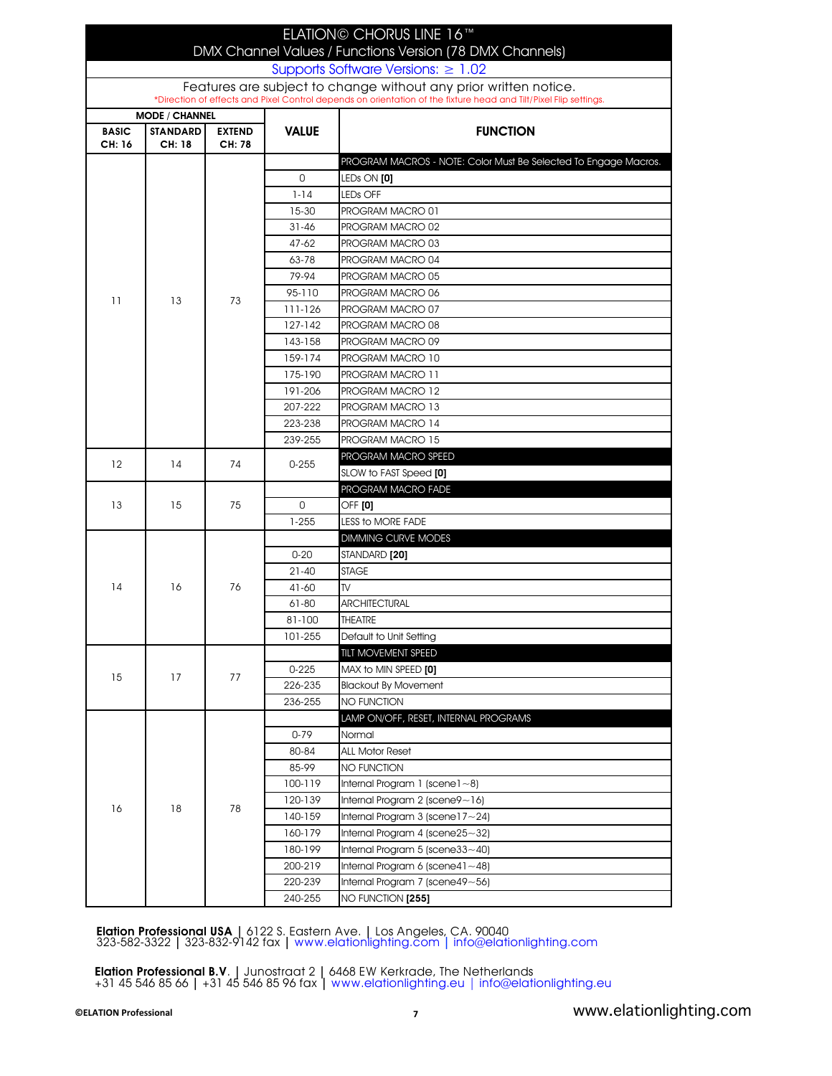|                                                                                                                                                                                      |                           |                         |                | ELATION© CHORUS LINE 16™                                        |  |  |
|--------------------------------------------------------------------------------------------------------------------------------------------------------------------------------------|---------------------------|-------------------------|----------------|-----------------------------------------------------------------|--|--|
| DMX Channel Values / Functions Version (78 DMX Channels)                                                                                                                             |                           |                         |                |                                                                 |  |  |
| Supports Software Versions: $\geq 1.02$                                                                                                                                              |                           |                         |                |                                                                 |  |  |
| Features are subject to change without any prior written notice.<br>*Direction of effects and Pixel Control depends on orientation of the fixture head and Tilt/Pixel Flip settings. |                           |                         |                |                                                                 |  |  |
|                                                                                                                                                                                      | <b>MODE / CHANNEL</b>     |                         |                |                                                                 |  |  |
| <b>BASIC</b><br>CH: 16                                                                                                                                                               | <b>STANDARD</b><br>CH: 18 | <b>EXTEND</b><br>CH: 78 | <b>VALUE</b>   | <b>FUNCTION</b>                                                 |  |  |
|                                                                                                                                                                                      |                           |                         |                | PROGRAM MACROS - NOTE: Color Must Be Selected To Engage Macros. |  |  |
|                                                                                                                                                                                      |                           |                         | $\Omega$       | LED <sub>s</sub> ON [0]                                         |  |  |
|                                                                                                                                                                                      |                           |                         | $1 - 14$       | LED <sub>s</sub> OFF                                            |  |  |
|                                                                                                                                                                                      |                           |                         | 15-30          | PROGRAM MACRO 01                                                |  |  |
|                                                                                                                                                                                      |                           |                         | $31 - 46$      | PROGRAM MACRO 02                                                |  |  |
|                                                                                                                                                                                      |                           |                         | $47 - 62$      | PROGRAM MACRO 03                                                |  |  |
|                                                                                                                                                                                      |                           |                         | 63-78          | PROGRAM MACRO 04                                                |  |  |
|                                                                                                                                                                                      |                           |                         | 79-94          | PROGRAM MACRO 05                                                |  |  |
| 11                                                                                                                                                                                   | 13                        | 73                      | 95-110         | PROGRAM MACRO 06                                                |  |  |
|                                                                                                                                                                                      |                           |                         | 111-126        | PROGRAM MACRO 07                                                |  |  |
|                                                                                                                                                                                      |                           |                         | 127-142        | PROGRAM MACRO 08                                                |  |  |
|                                                                                                                                                                                      |                           |                         | 143-158        | PROGRAM MACRO 09                                                |  |  |
|                                                                                                                                                                                      |                           |                         | 159-174        | PROGRAM MACRO 10                                                |  |  |
|                                                                                                                                                                                      |                           |                         | 175-190        | <b>PROGRAM MACRO 11</b>                                         |  |  |
|                                                                                                                                                                                      |                           |                         | 191-206        | <b>PROGRAM MACRO 12</b>                                         |  |  |
|                                                                                                                                                                                      |                           |                         | 207-222        | PROGRAM MACRO 13                                                |  |  |
|                                                                                                                                                                                      |                           |                         | 223-238        | <b>PROGRAM MACRO 14</b>                                         |  |  |
|                                                                                                                                                                                      |                           |                         | 239-255        | <b>PROGRAM MACRO 15</b>                                         |  |  |
| 12                                                                                                                                                                                   | 14                        | 74                      | $0 - 255$      | PROGRAM MACRO SPEED                                             |  |  |
|                                                                                                                                                                                      |                           |                         |                | SLOW to FAST Speed [0]                                          |  |  |
|                                                                                                                                                                                      | 15                        |                         |                | PROGRAM MACRO FADE                                              |  |  |
| 13                                                                                                                                                                                   |                           | 75                      | 0              | <b>OFF [0]</b>                                                  |  |  |
|                                                                                                                                                                                      |                           |                         | $1 - 255$      | <b>LESS to MORE FADE</b>                                        |  |  |
|                                                                                                                                                                                      | 16                        | 76                      |                | <b>DIMMING CURVE MODES</b>                                      |  |  |
|                                                                                                                                                                                      |                           |                         | $0 - 20$       | STANDARD [20]                                                   |  |  |
| 14                                                                                                                                                                                   |                           |                         | $21 - 40$      | <b>STAGE</b><br>TV.                                             |  |  |
|                                                                                                                                                                                      |                           |                         | 41-60<br>61-80 | <b>ARCHITECTURAL</b>                                            |  |  |
|                                                                                                                                                                                      |                           |                         |                |                                                                 |  |  |
|                                                                                                                                                                                      |                           |                         | 81-100         | <b>THEATRE</b><br>Default to Unit Setting                       |  |  |
|                                                                                                                                                                                      |                           |                         | 101-255        | <b>TILT MOVEMENT SPEED</b>                                      |  |  |
|                                                                                                                                                                                      |                           | 77                      | $0 - 225$      | MAX to MIN SPEED <b>[0]</b>                                     |  |  |
| 15                                                                                                                                                                                   | 17                        |                         | 226-235        | <b>Blackout By Movement</b>                                     |  |  |
|                                                                                                                                                                                      |                           |                         | 236-255        | <b>NO FUNCTION</b>                                              |  |  |
|                                                                                                                                                                                      |                           |                         |                | LAMP ON/OFF, RESET, INTERNAL PROGRAMS                           |  |  |
|                                                                                                                                                                                      |                           | 78                      | $0 - 79$       | Normal                                                          |  |  |
|                                                                                                                                                                                      | 18                        |                         | 80-84          | <b>ALL Motor Reset</b>                                          |  |  |
|                                                                                                                                                                                      |                           |                         | 85-99          | <b>NO FUNCTION</b>                                              |  |  |
|                                                                                                                                                                                      |                           |                         | 100-119        | Internal Program 1 (scene $1 - 8$ )                             |  |  |
|                                                                                                                                                                                      |                           |                         | 120-139        | Internal Program $2$ (scene $9$ ~16)                            |  |  |
| 16                                                                                                                                                                                   |                           |                         | 140-159        | Internal Program 3 (scene $17 - 24$ )                           |  |  |
|                                                                                                                                                                                      |                           |                         | 160-179        | Internal Program $4$ (scene $25 - 32$ )                         |  |  |
|                                                                                                                                                                                      |                           |                         | 180-199        | Internal Program 5 (scene33~40)                                 |  |  |
|                                                                                                                                                                                      |                           |                         | 200-219        | Internal Program 6 (scene4 $1 - 48$ )                           |  |  |
|                                                                                                                                                                                      |                           |                         | 220-239        | Internal Program 7 (scene49~56)                                 |  |  |
|                                                                                                                                                                                      |                           |                         | 240-255        | NO FUNCTION [255]                                               |  |  |

Elation Professional USA | 6122 S. Eastern Ave. | Los Angeles, CA. 90040 323-582-3322 | 323-832-9142 fax<sup>|</sup> www.elationlighting.com | info@elationlighting.com

**Elation Professional B.V**. | Junostraat 2 | 6468 EW Kerkrade, The Netherlands +31 45 546 85 66 | +31 45 546 85 96 fax <sup>|</sup> www.elationlighting.eu | info@elationlighting.eu